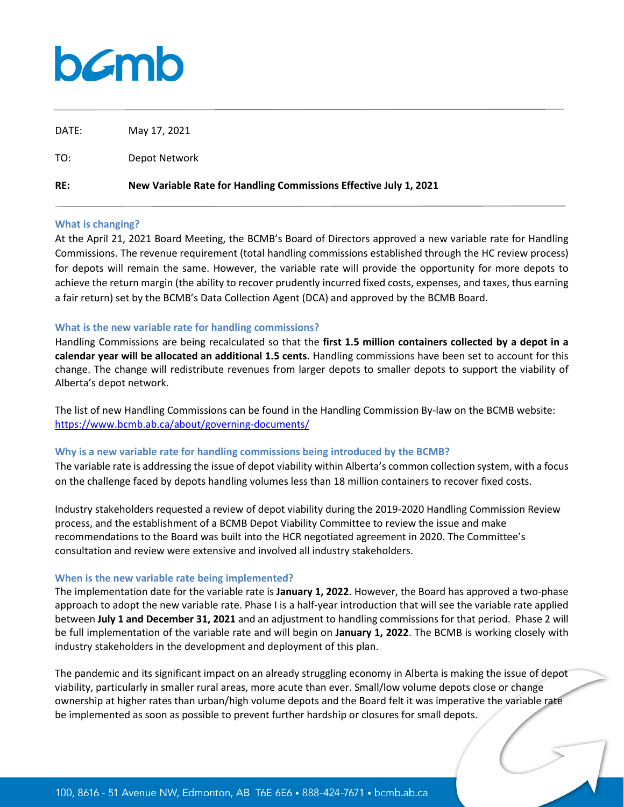# bamb

| DATE: | May 17, 2021                                                      |
|-------|-------------------------------------------------------------------|
| TO:   | Depot Network                                                     |
| RE:   | New Variable Rate for Handling Commissions Effective July 1, 2021 |

#### **What is changing?**

At the April 21, 2021 Board Meeting, the BCMB's Board of Directors approved a new variable rate for Handling Commissions. The revenue requirement (total handling commissions established through the HC review process) for depots will remain the same. However, the variable rate will provide the opportunity for more depots to achieve the return margin (the ability to recover prudently incurred fixed costs, expenses, and taxes, thus earning a fair return) set by the BCMB's Data Collection Agent (DCA) and approved by the BCMB Board.

## **What is the new variable rate for handling commissions?**

Handling Commissions are being recalculated so that the **first 1.5 million containers collected by a depot in a calendar year will be allocated an additional 1.5 cents.** Handling commissions have been set to account for this change. The change will redistribute revenues from larger depots to smaller depots to support the viability of Alberta's depot network.

The list of new Handling Commissions can be found in the Handling Commission By-law on the BCMB website: <https://www.bcmb.ab.ca/about/governing-documents/>

## **Why is a new variable rate for handling commissions being introduced by the BCMB?**

The variable rate is addressing the issue of depot viability within Alberta's common collection system, with a focus on the challenge faced by depots handling volumes less than 18 million containers to recover fixed costs.

Industry stakeholders requested a review of depot viability during the 2019-2020 Handling Commission Review process, and the establishment of a BCMB Depot Viability Committee to review the issue and make recommendations to the Board was built into the HCR negotiated agreement in 2020. The Committee's consultation and review were extensive and involved all industry stakeholders.

## **When is the new variable rate being implemented?**

The implementation date for the variable rate is **January 1, 2022**. However, the Board has approved a two-phase approach to adopt the new variable rate. Phase I is a half-year introduction that will see the variable rate applied between **July 1 and December 31, 2021** and an adjustment to handling commissions for that period. Phase 2 will be full implementation of the variable rate and will begin on **January 1, 2022**. The BCMB is working closely with industry stakeholders in the development and deployment of this plan.

The pandemic and its significant impact on an already struggling economy in Alberta is making the issue of depot viability, particularly in smaller rural areas, more acute than ever. Small/low volume depots close or change ownership at higher rates than urban/high volume depots and the Board felt it was imperative the variable rate be implemented as soon as possible to prevent further hardship or closures for small depots.